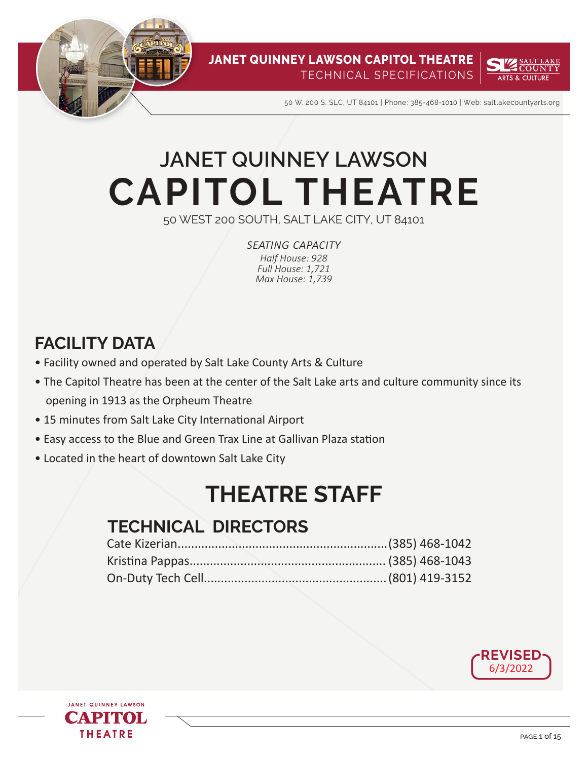



50 W. 200 S. SLC, UT 84101 | Phone: 385-468-1010 | Web: saltlakecountyarts.org

# **CAPITOL THEATRE JANET QUINNEY LAWSON**

50 WEST 200 SOUTH, SALT LAKE CITY, UT 84101

*seating capacity Half House: 928 Full House: 1,721 Max House: 1,739*

## **FACILITY DATA**

- Facility owned and operated by Salt Lake County Arts & Culture
- The Capitol Theatre has been at the center of the Salt Lake arts and culture community since its opening in 1913 as the Orpheum Theatre
- 15 minutes from Salt Lake City International Airport
- Easy access to the Blue and Green Trax Line at Gallivan Plaza station
- Located in the heart of downtown Salt Lake City

## **THEATRE STAFF**

## **TECHNICAL DIRECTORS**



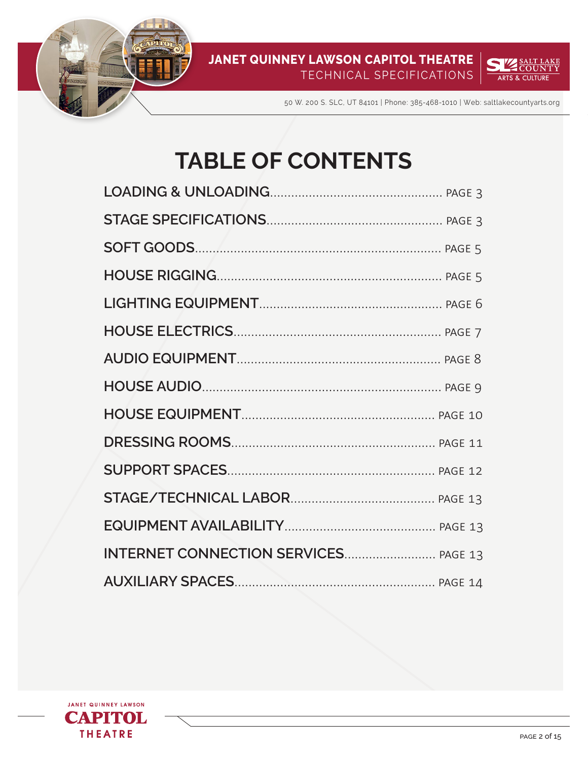



50 W. 200 S. SLC, UT 84101 | Phone: 385-468-1010 | Web: saltlakecountyarts.org

## **TABLE OF CONTENTS**

| INTERNET CONNECTION SERVICES PAGE 13 |  |
|--------------------------------------|--|
|                                      |  |

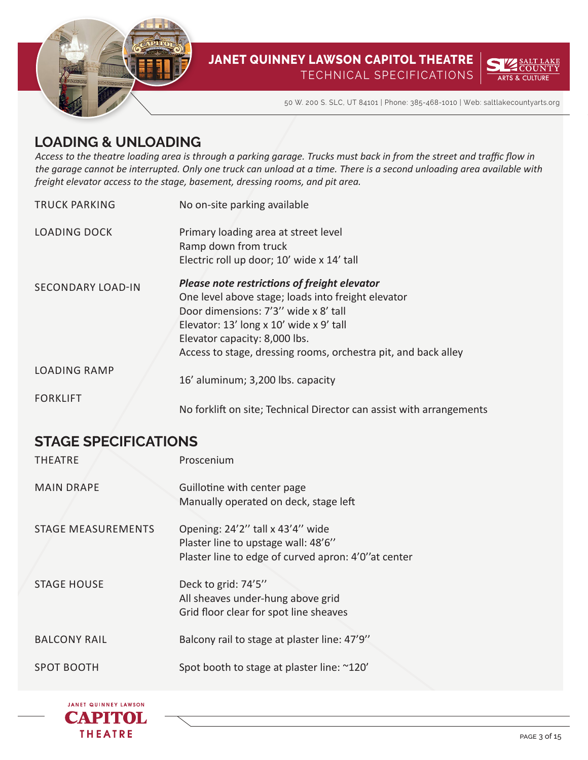



50 W. 200 S. SLC, UT 84101 | Phone: 385-468-1010 | Web: saltlakecountyarts.org

## **LOADING & UNLOADING**

*Access to the theatre loading area is through a parking garage. Trucks must back in from the street and traffic flow in the garage cannot be interrupted. Only one truck can unload at a time. There is a second unloading area available with freight elevator access to the stage, basement, dressing rooms, and pit area.*

| <b>TRUCK PARKING</b>     | No on-site parking available                                                                                                                                                                                                                                                             |
|--------------------------|------------------------------------------------------------------------------------------------------------------------------------------------------------------------------------------------------------------------------------------------------------------------------------------|
| <b>LOADING DOCK</b>      | Primary loading area at street level<br>Ramp down from truck                                                                                                                                                                                                                             |
|                          | Electric roll up door; 10' wide x 14' tall                                                                                                                                                                                                                                               |
| <b>SECONDARY LOAD-IN</b> | Please note restrictions of freight elevator<br>One level above stage; loads into freight elevator<br>Door dimensions: 7'3" wide x 8' tall<br>Elevator: 13' long x 10' wide x 9' tall<br>Elevator capacity: 8,000 lbs.<br>Access to stage, dressing rooms, orchestra pit, and back alley |
| <b>LOADING RAMP</b>      | 16' aluminum; 3,200 lbs. capacity                                                                                                                                                                                                                                                        |
| <b>FORKLIFT</b>          | No forklift on site; Technical Director can assist with arrangements                                                                                                                                                                                                                     |

## **STAGE SPECIFICATIONS**

| <b>THEATRE</b>            | Proscenium                                                                                                                      |
|---------------------------|---------------------------------------------------------------------------------------------------------------------------------|
| <b>MAIN DRAPE</b>         | Guillotine with center page<br>Manually operated on deck, stage left                                                            |
| <b>STAGE MEASUREMENTS</b> | Opening: 24'2" tall x 43'4" wide<br>Plaster line to upstage wall: 48'6"<br>Plaster line to edge of curved apron: 4'0" at center |
| <b>STAGE HOUSE</b>        | Deck to grid: 74'5"<br>All sheaves under-hung above grid<br>Grid floor clear for spot line sheaves                              |
| <b>BALCONY RAIL</b>       | Balcony rail to stage at plaster line: 47'9"                                                                                    |
| <b>SPOT BOOTH</b>         | Spot booth to stage at plaster line: ~120'                                                                                      |

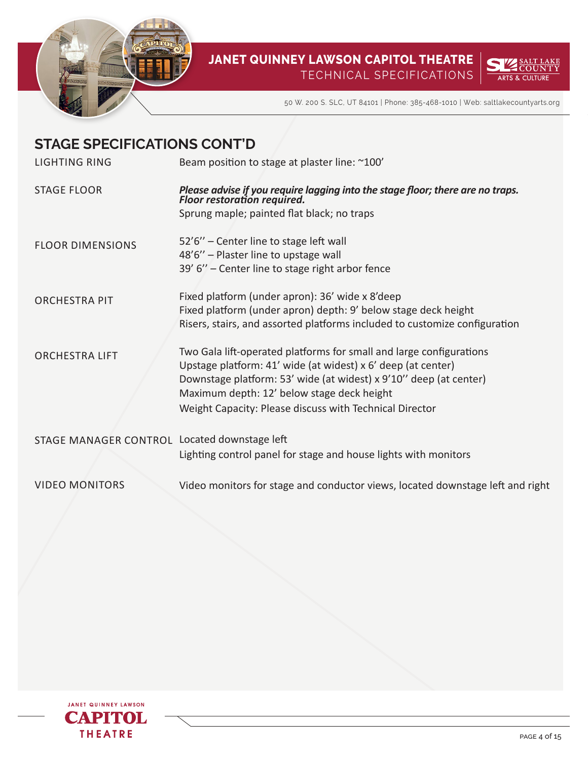



50 W. 200 S. SLC, UT 84101 | Phone: 385-468-1010 | Web: saltlakecountyarts.org

| <b>STAGE SPECIFICATIONS CONT'D</b>           |                                                                                                                                     |
|----------------------------------------------|-------------------------------------------------------------------------------------------------------------------------------------|
| LIGHTING RING                                | Beam position to stage at plaster line: ~100'                                                                                       |
| <b>STAGE FLOOR</b>                           | Please advise if you require lagging into the stage floor; there are no traps.<br>Floor restoration required.                       |
|                                              | Sprung maple; painted flat black; no traps                                                                                          |
| <b>FLOOR DIMENSIONS</b>                      | 52'6" - Center line to stage left wall                                                                                              |
|                                              | 48'6" - Plaster line to upstage wall                                                                                                |
|                                              | 39' 6" - Center line to stage right arbor fence                                                                                     |
| <b>ORCHESTRA PIT</b>                         | Fixed platform (under apron): 36' wide x 8'deep                                                                                     |
|                                              | Fixed platform (under apron) depth: 9' below stage deck height                                                                      |
|                                              | Risers, stairs, and assorted platforms included to customize configuration                                                          |
| <b>ORCHESTRA LIFT</b>                        | Two Gala lift-operated platforms for small and large configurations<br>Upstage platform: 41' wide (at widest) x 6' deep (at center) |
|                                              | Downstage platform: 53' wide (at widest) x 9'10" deep (at center)                                                                   |
|                                              | Maximum depth: 12' below stage deck height                                                                                          |
|                                              | Weight Capacity: Please discuss with Technical Director                                                                             |
| STAGE MANAGER CONTROL Located downstage left |                                                                                                                                     |
|                                              | Lighting control panel for stage and house lights with monitors                                                                     |
| <b>VIDEO MONITORS</b>                        | Video monitors for stage and conductor views, located downstage left and right                                                      |

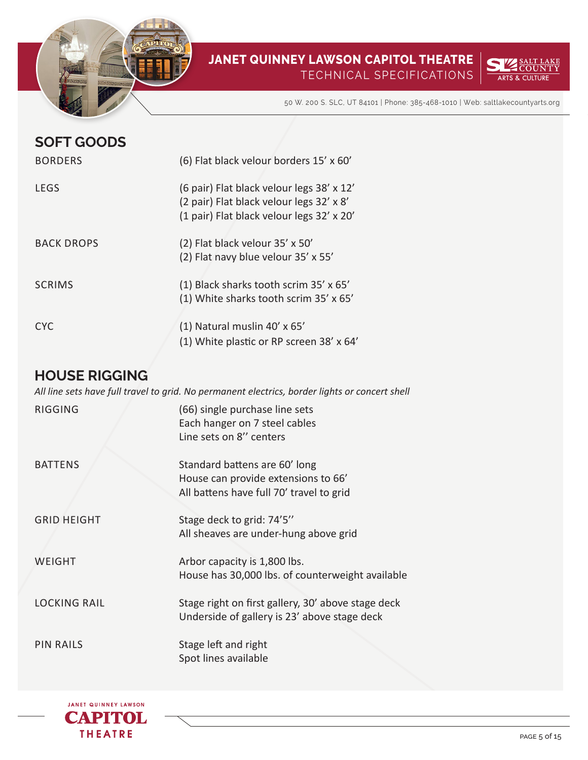



50 W. 200 S. SLC, UT 84101 | Phone: 385-468-1010 | Web: saltlakecountyarts.org

| <b>SOFT GOODS</b> |                                                                                                                                    |
|-------------------|------------------------------------------------------------------------------------------------------------------------------------|
| <b>BORDERS</b>    | (6) Flat black velour borders 15' x 60'                                                                                            |
| LEGS              | (6 pair) Flat black velour legs 38' x 12'<br>(2 pair) Flat black velour legs 32' x 8'<br>(1 pair) Flat black velour legs 32' x 20' |
| <b>BACK DROPS</b> | (2) Flat black velour 35' x 50'<br>(2) Flat navy blue velour 35' x 55'                                                             |
| <b>SCRIMS</b>     | (1) Black sharks tooth scrim 35' x 65'<br>(1) White sharks tooth scrim 35' x 65'                                                   |
| CYC               | (1) Natural muslin 40' x 65'<br>(1) White plastic or RP screen 38' x 64'                                                           |

### **HOUSE RIGGING**

*All line sets have full travel to grid. No permanent electrics, border lights or concert shell*

| <b>RIGGING</b>      | (66) single purchase line sets<br>Each hanger on 7 steel cables<br>Line sets on 8" centers                       |
|---------------------|------------------------------------------------------------------------------------------------------------------|
| <b>BATTENS</b>      | Standard battens are 60' long<br>House can provide extensions to 66'<br>All battens have full 70' travel to grid |
| <b>GRID HEIGHT</b>  | Stage deck to grid: 74'5"<br>All sheaves are under-hung above grid                                               |
| WEIGHT              | Arbor capacity is 1,800 lbs.<br>House has 30,000 lbs. of counterweight available                                 |
| <b>LOCKING RAIL</b> | Stage right on first gallery, 30' above stage deck<br>Underside of gallery is 23' above stage deck               |
| <b>PIN RAILS</b>    | Stage left and right<br>Spot lines available                                                                     |

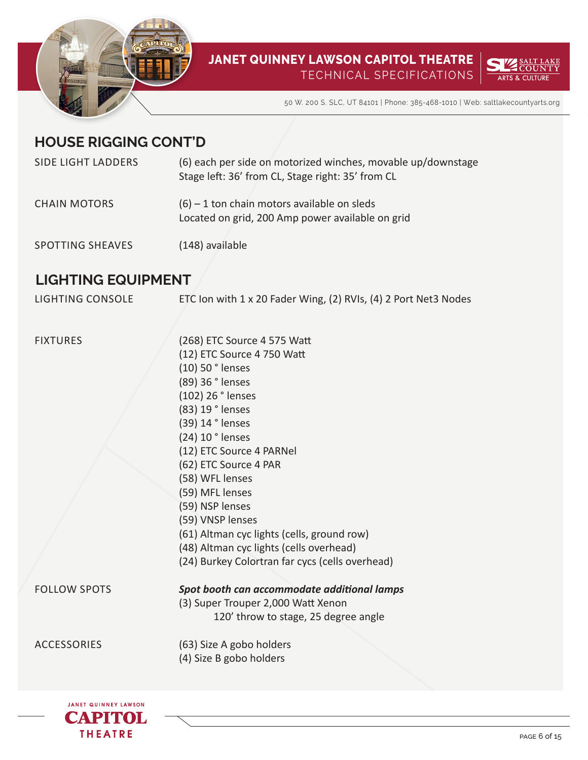



50 W. 200 S. SLC, UT 84101 | Phone: 385-468-1010 | Web: saltlakecountyarts.org

## **HOUSE RIGGING CONT'D**

| <b>SIDE LIGHT LADDERS</b> | (6) each per side on motorized winches, movable up/downstage<br>Stage left: 36' from CL, Stage right: 35' from CL |
|---------------------------|-------------------------------------------------------------------------------------------------------------------|
| <b>CHAIN MOTORS</b>       | $(6)$ – 1 ton chain motors available on sleds<br>Located on grid, 200 Amp power available on grid                 |
| <b>SPOTTING SHEAVES</b>   | (148) available                                                                                                   |

## **LIGHTING EQUIPMENT**

| LIGHTING CONSOLE | ETC Ion with 1 x 20 Fader Wing, (2) RVIs, (4) 2 Port Net3 Nodes |  |
|------------------|-----------------------------------------------------------------|--|
|------------------|-----------------------------------------------------------------|--|

FIXTURES

(268) ETC Source 4 575 Watt (12) ETC Source 4 750 Watt (10) 50 ° lenses (89) 36 ° lenses (102) 26 ° lenses (83) 19 ° lenses (39) 14 ° lenses (24) 10 ° lenses (12) ETC Source 4 PARNel (62) ETC Source 4 PAR (58) WFL lenses (59) MFL lenses (59) NSP lenses (59) VNSP lenses (61) Altman cyc lights (cells, ground row) (48) Altman cyc lights (cells overhead) (24) Burkey Colortran far cycs (cells overhead) *Spot booth can accommodate additional lamps*  (3) Super Trouper 2,000 Watt Xenon 120' throw to stage, 25 degree angle (63) Size A gobo holders (4) Size B gobo holders



FOLLOW SPOTS

ACCESSORIES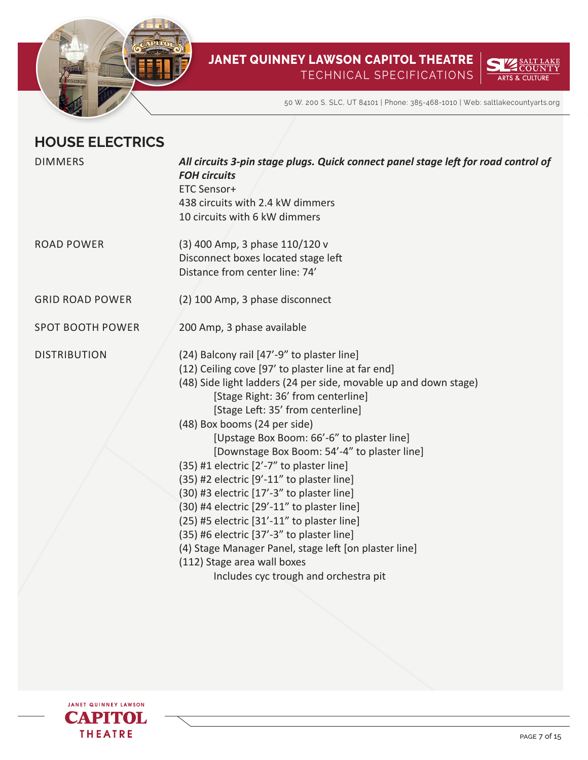



50 W. 200 S. SLC, UT 84101 | Phone: 385-468-1010 | Web: saltlakecountyarts.org

## **HOUSE ELECTRICS**

| All circuits 3-pin stage plugs. Quick connect panel stage left for road control of<br><b>FOH circuits</b><br>ETC Sensor+<br>438 circuits with 2.4 kW dimmers<br>10 circuits with 6 kW dimmers                                                                                                                                                                                                                                                                                                                                                                                                                                                                                                                                                                                                 |
|-----------------------------------------------------------------------------------------------------------------------------------------------------------------------------------------------------------------------------------------------------------------------------------------------------------------------------------------------------------------------------------------------------------------------------------------------------------------------------------------------------------------------------------------------------------------------------------------------------------------------------------------------------------------------------------------------------------------------------------------------------------------------------------------------|
| (3) 400 Amp, 3 phase 110/120 v<br>Disconnect boxes located stage left<br>Distance from center line: 74'                                                                                                                                                                                                                                                                                                                                                                                                                                                                                                                                                                                                                                                                                       |
| (2) 100 Amp, 3 phase disconnect                                                                                                                                                                                                                                                                                                                                                                                                                                                                                                                                                                                                                                                                                                                                                               |
| 200 Amp, 3 phase available                                                                                                                                                                                                                                                                                                                                                                                                                                                                                                                                                                                                                                                                                                                                                                    |
| (24) Balcony rail [47'-9" to plaster line]<br>(12) Ceiling cove [97' to plaster line at far end]<br>(48) Side light ladders (24 per side, movable up and down stage)<br>[Stage Right: 36' from centerline]<br>[Stage Left: 35' from centerline]<br>(48) Box booms (24 per side)<br>[Upstage Box Boom: 66'-6" to plaster line]<br>[Downstage Box Boom: 54'-4" to plaster line]<br>(35) #1 electric [2'-7" to plaster line]<br>(35) #2 electric [9'-11" to plaster line]<br>(30) #3 electric [17'-3" to plaster line]<br>(30) #4 electric [29'-11" to plaster line]<br>(25) #5 electric [31'-11" to plaster line]<br>(35) #6 electric [37'-3" to plaster line]<br>(4) Stage Manager Panel, stage left [on plaster line]<br>(112) Stage area wall boxes<br>Includes cyc trough and orchestra pit |
|                                                                                                                                                                                                                                                                                                                                                                                                                                                                                                                                                                                                                                                                                                                                                                                               |

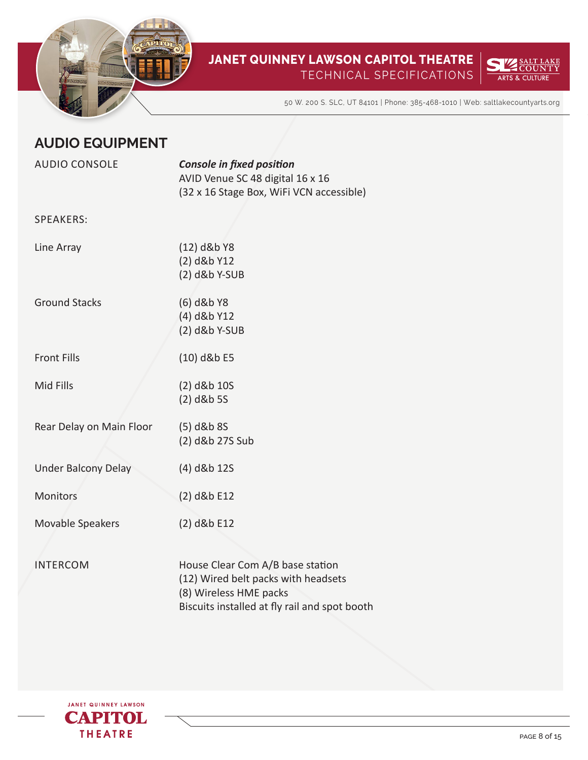



50 W. 200 S. SLC, UT 84101 | Phone: 385-468-1010 | Web: saltlakecountyarts.org

## **AUDIO EQUIPMENT**

| <b>AUDIO CONSOLE</b>       | <b>Console in fixed position</b><br>AVID Venue SC 48 digital 16 x 16                                                                               |
|----------------------------|----------------------------------------------------------------------------------------------------------------------------------------------------|
|                            | (32 x 16 Stage Box, WiFi VCN accessible)                                                                                                           |
| <b>SPEAKERS:</b>           |                                                                                                                                                    |
| Line Array                 | (12) d&b Y8<br>(2) d&b Y12<br>(2) d&b Y-SUB                                                                                                        |
| <b>Ground Stacks</b>       | (6) d&b Y8<br>(4) d&b Y12<br>(2) d&b Y-SUB                                                                                                         |
| <b>Front Fills</b>         | $(10)$ d&b E5                                                                                                                                      |
| Mid Fills                  | (2) d&b 10S<br>$(2)$ d&b 5S                                                                                                                        |
| Rear Delay on Main Floor   | $(5)$ d&b 8S<br>(2) d&b 27S Sub                                                                                                                    |
| <b>Under Balcony Delay</b> | (4) d&b 12S                                                                                                                                        |
| <b>Monitors</b>            | (2) d&b E12                                                                                                                                        |
| Movable Speakers           | (2) d&b E12                                                                                                                                        |
| <b>INTERCOM</b>            | House Clear Com A/B base station<br>(12) Wired belt packs with headsets<br>(8) Wireless HME packs<br>Biscuits installed at fly rail and spot booth |

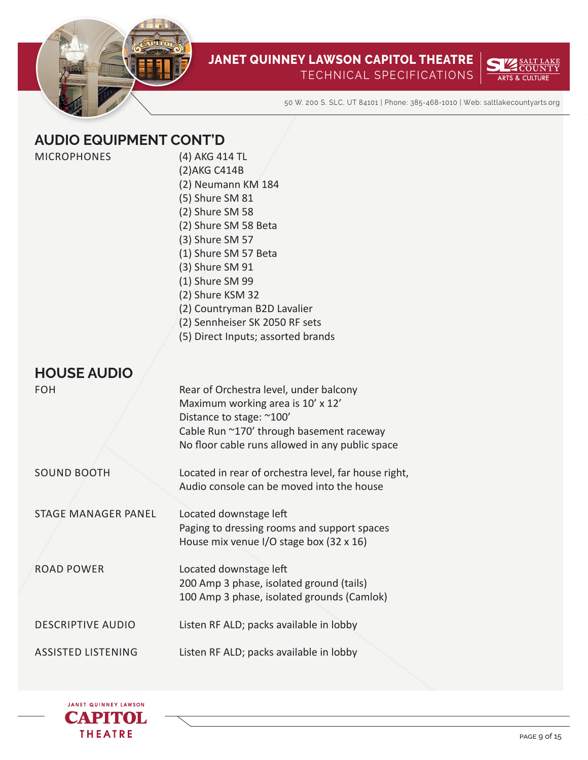



50 W. 200 S. SLC, UT 84101 | Phone: 385-468-1010 | Web: saltlakecountyarts.org

## **AUDIO EQUIPMENT CONT'D**

(4) AKG 414 TL (2)AKG C414B (2) Neumann KM 184 (5) Shure SM 81 (2) Shure SM 58 (2) Shure SM 58 Beta (3) Shure SM 57 (1) Shure SM 57 Beta (3) Shure SM 91 (1) Shure SM 99 (2) Shure KSM 32 (2) Countryman B2D Lavalier (2) Sennheiser SK 2050 RF sets (5) Direct Inputs; assorted brands Rear of Orchestra level, under balcony Maximum working area is 10' x 12' Distance to stage: ~100' Cable Run ~170' through basement raceway No floor cable runs allowed in any public space Located in rear of orchestra level, far house right,

| SOUND BOOTH |  |
|-------------|--|

**HOUSE AUDIO**

FOH

Audio console can be moved into the house

STAGE MANAGER PANEL Located downstage left Paging to dressing rooms and support spaces House mix venue I/O stage box (32 x 16)

ROAD POWER Located downstage left 200 Amp 3 phase, isolated ground (tails) 100 Amp 3 phase, isolated grounds (Camlok)

DESCRIPTIVE AUDIO Listen RF ALD; packs available in lobby

ASSISTED LISTENING Listen RF ALD; packs available in lobby

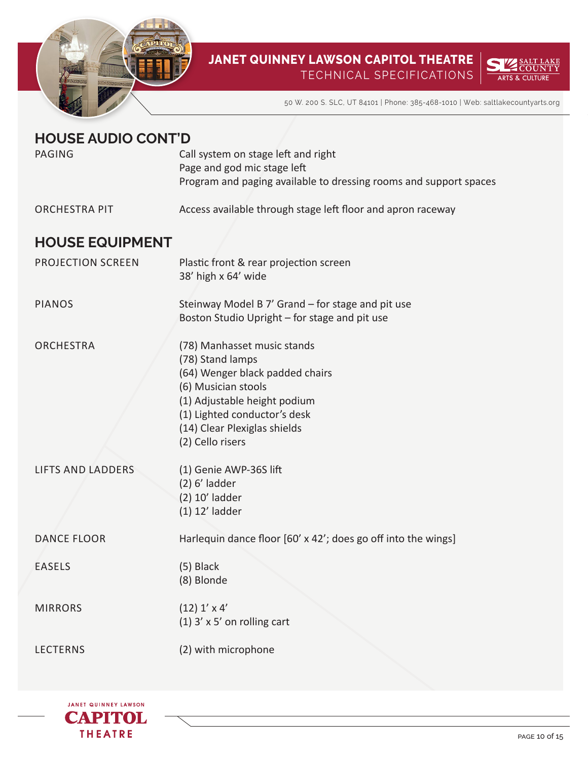



50 W. 200 S. SLC, UT 84101 | Phone: 385-468-1010 | Web: saltlakecountyarts.org

## **HOUSE AUDIO CONT'D**

| <b>PAGING</b>            | Call system on stage left and right                                                                                                                                                                                           |
|--------------------------|-------------------------------------------------------------------------------------------------------------------------------------------------------------------------------------------------------------------------------|
|                          | Page and god mic stage left                                                                                                                                                                                                   |
|                          | Program and paging available to dressing rooms and support spaces                                                                                                                                                             |
| <b>ORCHESTRA PIT</b>     | Access available through stage left floor and apron raceway                                                                                                                                                                   |
| <b>HOUSE EQUIPMENT</b>   |                                                                                                                                                                                                                               |
| <b>PROJECTION SCREEN</b> | Plastic front & rear projection screen<br>38' high x 64' wide                                                                                                                                                                 |
| <b>PIANOS</b>            | Steinway Model B 7' Grand - for stage and pit use<br>Boston Studio Upright - for stage and pit use                                                                                                                            |
| <b>ORCHESTRA</b>         | (78) Manhasset music stands<br>(78) Stand lamps<br>(64) Wenger black padded chairs<br>(6) Musician stools<br>(1) Adjustable height podium<br>(1) Lighted conductor's desk<br>(14) Clear Plexiglas shields<br>(2) Cello risers |
| <b>LIFTS AND LADDERS</b> | (1) Genie AWP-36S lift<br>$(2)$ 6' ladder<br>(2) 10' ladder<br>$(1)$ 12' ladder                                                                                                                                               |
| <b>DANCE FLOOR</b>       | Harlequin dance floor [60' x 42'; does go off into the wings]                                                                                                                                                                 |
| <b>EASELS</b>            | $(5)$ Black<br>(8) Blonde                                                                                                                                                                                                     |
| <b>MIRRORS</b>           | $(12)$ 1' x 4'<br>$(1)$ 3' x 5' on rolling cart                                                                                                                                                                               |
| <b>LECTERNS</b>          | (2) with microphone                                                                                                                                                                                                           |

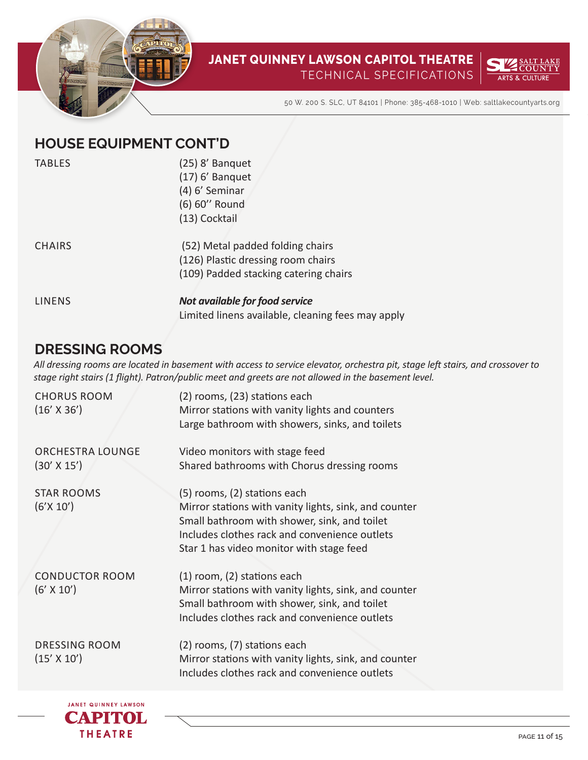



50 W. 200 S. SLC, UT 84101 | Phone: 385-468-1010 | Web: saltlakecountyarts.org

## **HOUSE EQUIPMENT CONT'D**

| <b>TABLES</b> | (25) 8' Banquet                                   |
|---------------|---------------------------------------------------|
|               | $(17)$ 6' Banquet                                 |
|               | (4) 6' Seminar                                    |
|               | (6) 60" Round                                     |
|               | (13) Cocktail                                     |
| <b>CHAIRS</b> | (52) Metal padded folding chairs                  |
|               | (126) Plastic dressing room chairs                |
|               | (109) Padded stacking catering chairs             |
| <b>LINENS</b> | Not available for food service                    |
|               | Limited linens available, cleaning fees may apply |

## **DRESSING ROOMS**

*All dressing rooms are located in basement with access to service elevator, orchestra pit, stage left stairs, and crossover to stage right stairs (1 flight). Patron/public meet and greets are not allowed in the basement level.*

| <b>CHORUS ROOM</b><br>$(16' \times 36')$      | (2) rooms, (23) stations each<br>Mirror stations with vanity lights and counters<br>Large bathroom with showers, sinks, and toilets                                                                                                |
|-----------------------------------------------|------------------------------------------------------------------------------------------------------------------------------------------------------------------------------------------------------------------------------------|
| <b>ORCHESTRA LOUNGE</b><br>$(30' \times 15')$ | Video monitors with stage feed<br>Shared bathrooms with Chorus dressing rooms                                                                                                                                                      |
| <b>STAR ROOMS</b><br>(6'X 10')                | (5) rooms, (2) stations each<br>Mirror stations with vanity lights, sink, and counter<br>Small bathroom with shower, sink, and toilet<br>Includes clothes rack and convenience outlets<br>Star 1 has video monitor with stage feed |
| <b>CONDUCTOR ROOM</b><br>$(6' \times 10')$    | (1) room, (2) stations each<br>Mirror stations with vanity lights, sink, and counter<br>Small bathroom with shower, sink, and toilet<br>Includes clothes rack and convenience outlets                                              |
| <b>DRESSING ROOM</b><br>$(15' \times 10')$    | (2) rooms, (7) stations each<br>Mirror stations with vanity lights, sink, and counter<br>Includes clothes rack and convenience outlets                                                                                             |
|                                               |                                                                                                                                                                                                                                    |

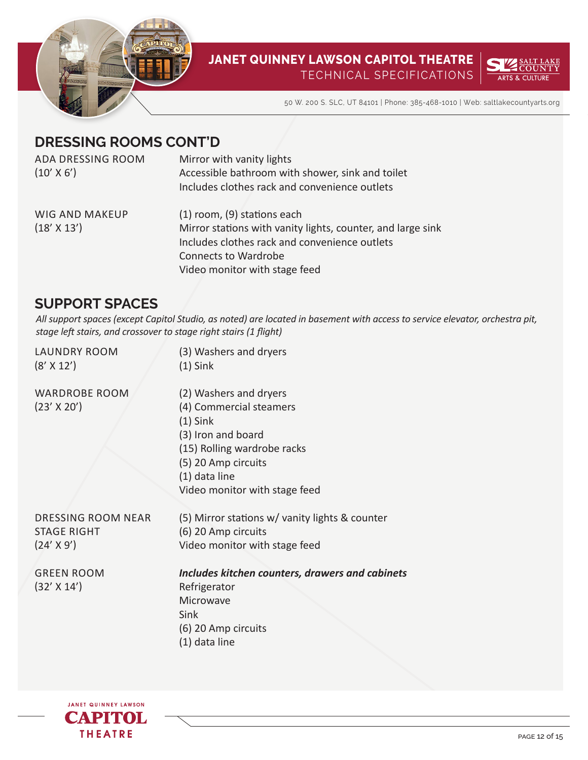



50 W. 200 S. SLC, UT 84101 | Phone: 385-468-1010 | Web: saltlakecountyarts.org

## **DRESSING ROOMS CONT'D**

| ADA DRESSING ROOM     | Mirror with vanity lights                                   |
|-----------------------|-------------------------------------------------------------|
| $(10' \times 6')$     | Accessible bathroom with shower, sink and toilet            |
|                       | Includes clothes rack and convenience outlets               |
| <b>WIG AND MAKEUP</b> | (1) room, (9) stations each                                 |
| $(18' \times 13')$    | Mirror stations with vanity lights, counter, and large sink |
|                       | Includes clothes rack and convenience outlets               |
|                       | <b>Connects to Wardrobe</b>                                 |
|                       | Video monitor with stage feed                               |

## **SUPPORT SPACES**

*All support spaces (except Capitol Studio, as noted) are located in basement with access to service elevator, orchestra pit, stage left stairs, and crossover to stage right stairs (1 flight)*

| <b>LAUNDRY ROOM</b><br>$(8' \times 12')$ | (3) Washers and dryers<br>$(1)$ Sink            |
|------------------------------------------|-------------------------------------------------|
| <b>WARDROBE ROOM</b>                     | (2) Washers and dryers                          |
| $(23'$ X 20')                            | (4) Commercial steamers                         |
|                                          | $(1)$ Sink                                      |
|                                          | (3) Iron and board                              |
|                                          | (15) Rolling wardrobe racks                     |
|                                          | (5) 20 Amp circuits                             |
|                                          | (1) data line                                   |
|                                          | Video monitor with stage feed                   |
| <b>DRESSING ROOM NEAR</b>                | (5) Mirror stations w/ vanity lights & counter  |
| <b>STAGE RIGHT</b>                       | (6) 20 Amp circuits                             |
| $(24' \times 9')$                        | Video monitor with stage feed                   |
| <b>GREEN ROOM</b>                        | Includes kitchen counters, drawers and cabinets |
| $(32' \times 14')$                       | Refrigerator                                    |
|                                          | Microwave                                       |
|                                          | Sink                                            |
|                                          | (6) 20 Amp circuits                             |
|                                          | (1) data line                                   |
|                                          |                                                 |

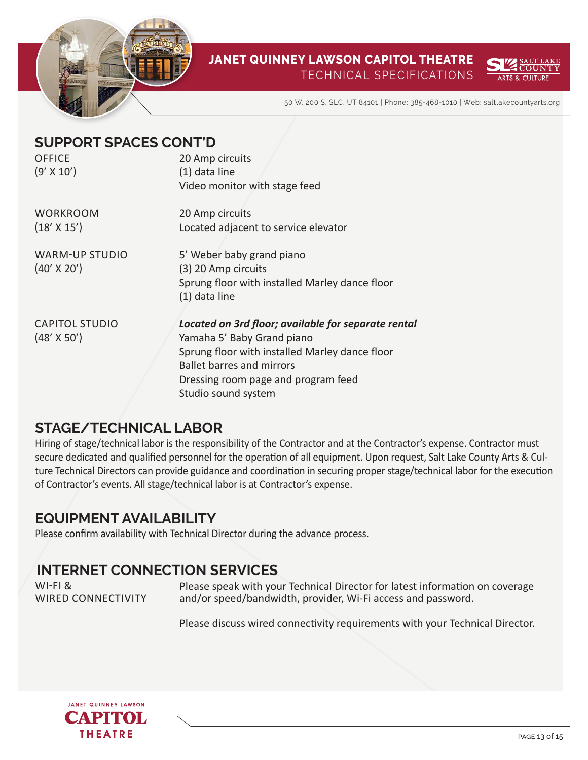



50 W. 200 S. SLC, UT 84101 | Phone: 385-468-1010 | Web: saltlakecountyarts.org

| <b>SUPPORT SPACES CONT'D</b> |                                                     |
|------------------------------|-----------------------------------------------------|
| OFFICE                       | 20 Amp circuits                                     |
| $(9' \times 10')$            | (1) data line                                       |
|                              | Video monitor with stage feed                       |
| <b>WORKROOM</b>              | 20 Amp circuits                                     |
| (18' X 15')                  | Located adjacent to service elevator                |
| <b>WARM-UP STUDIO</b>        | 5' Weber baby grand piano                           |
| $(40' \times 20')$           | (3) 20 Amp circuits                                 |
|                              | Sprung floor with installed Marley dance floor      |
|                              | (1) data line                                       |
|                              |                                                     |
| <b>CAPITOL STUDIO</b>        | Located on 3rd floor; available for separate rental |
| $(48' \times 50')$           | Yamaha 5' Baby Grand piano                          |
|                              | Sprung floor with installed Marley dance floor      |
|                              | <b>Ballet barres and mirrors</b>                    |
|                              | Dressing room page and program feed                 |
|                              | Studio sound system                                 |

## **STAGE/TECHNICAL LABOR**

Hiring of stage/technical labor is the responsibility of the Contractor and at the Contractor's expense. Contractor must secure dedicated and qualified personnel for the operation of all equipment. Upon request, Salt Lake County Arts & Culture Technical Directors can provide guidance and coordination in securing proper stage/technical labor for the execution of Contractor's events. All stage/technical labor is at Contractor's expense.

## **EQUIPMENT AVAILABILITY**

Please confirm availability with Technical Director during the advance process.

## **INTERNET CONNECTION SERVICES**

WI-FI & WIRED CONNECTIVITY

Please speak with your Technical Director for latest information on coverage and/or speed/bandwidth, provider, Wi-Fi access and password.

Please discuss wired connectivity requirements with your Technical Director.

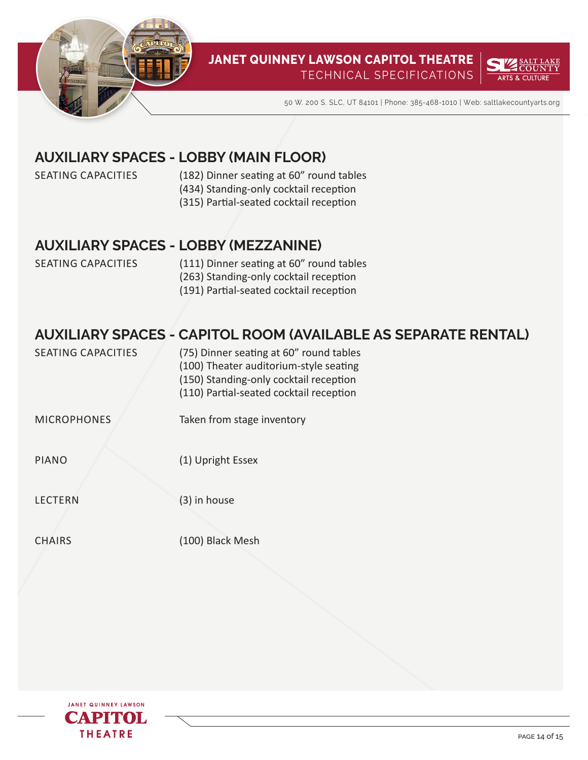



50 W. 200 S. SLC, UT 84101 | Phone: 385-468-1010 | Web: saltlakecountyarts.org

## **AUXILIARY SPACES - LOBBY (MAIN FLOOR)**

SEATING CAPACITIES

- (182) Dinner seating at 60" round tables
- (434) Standing-only cocktail reception
- (315) Partial-seated cocktail reception

#### **AUXILIARY SPACES - LOBBY (MEZZANINE)**

SEATING CAPACITIES (111) Dinner seating at 60" round tables (263) Standing-only cocktail reception (191) Partial-seated cocktail reception

## **AUXILIARY SPACES - CAPITOL ROOM (AVAILABLE AS SEPARATE RENTAL)**

| SEATING CAPACITIES | (75) Dinner seating at 60" round tables |
|--------------------|-----------------------------------------|
|                    | (100) Theater auditorium-style seating  |
|                    | (150) Standing-only cocktail reception  |
|                    | (110) Partial-seated cocktail reception |

MICROPHONES Taken from stage inventory

PIANO (1) Upright Essex

LECTERN

(3) in house

**CHAIRS** 

(100) Black Mesh